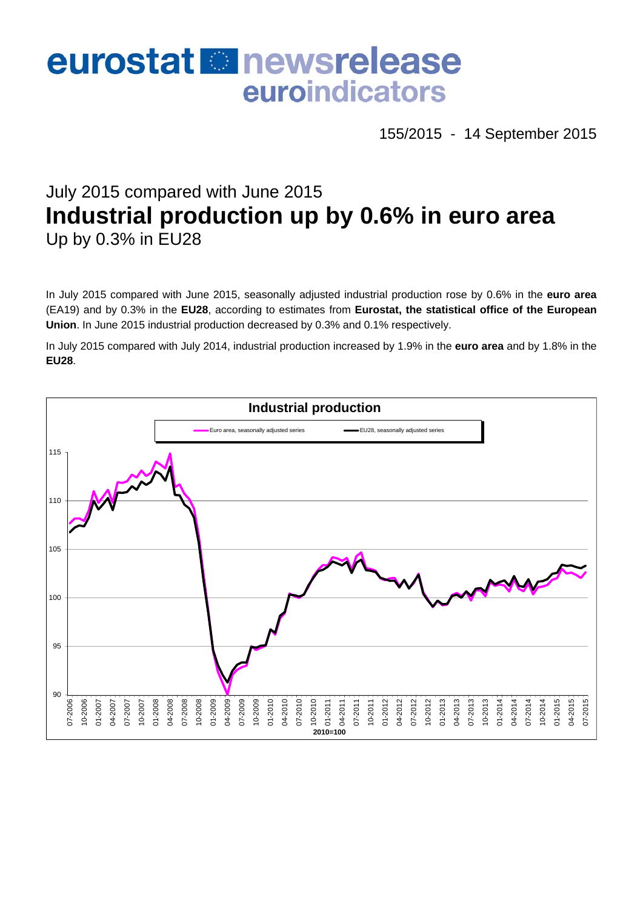# eurostat **B**newsrelease euroindicators

155/2015 - 14 September 2015

# July 2015 compared with June 2015 **Industrial production up by 0.6% in euro area**  Up by 0.3% in EU28

In July 2015 compared with June 2015, seasonally adjusted industrial production rose by 0.6% in the **euro area**  (EA19) and by 0.3% in the **EU28**, according to estimates from **Eurostat, the statistical office of the European Union**. In June 2015 industrial production decreased by 0.3% and 0.1% respectively.

In July 2015 compared with July 2014, industrial production increased by 1.9% in the **euro area** and by 1.8% in the **EU28**.

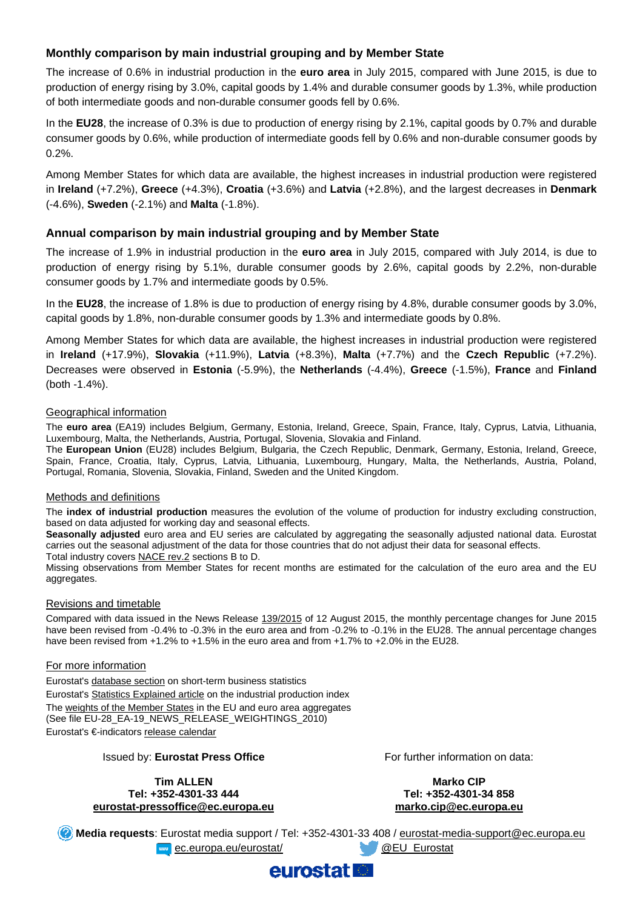# **Monthly comparison by main industrial grouping and by Member State**

The increase of 0.6% in industrial production in the **euro area** in July 2015, compared with June 2015, is due to production of energy rising by 3.0%, capital goods by 1.4% and durable consumer goods by 1.3%, while production of both intermediate goods and non-durable consumer goods fell by 0.6%.

In the **EU28**, the increase of 0.3% is due to production of energy rising by 2.1%, capital goods by 0.7% and durable consumer goods by 0.6%, while production of intermediate goods fell by 0.6% and non-durable consumer goods by 0.2%.

Among Member States for which data are available, the highest increases in industrial production were registered in **Ireland** (+7.2%), **Greece** (+4.3%), **Croatia** (+3.6%) and **Latvia** (+2.8%), and the largest decreases in **Denmark** (-4.6%), **Sweden** (-2.1%) and **Malta** (-1.8%).

# **Annual comparison by main industrial grouping and by Member State**

The increase of 1.9% in industrial production in the **euro area** in July 2015, compared with July 2014, is due to production of energy rising by 5.1%, durable consumer goods by 2.6%, capital goods by 2.2%, non-durable consumer goods by 1.7% and intermediate goods by 0.5%.

In the **EU28**, the increase of 1.8% is due to production of energy rising by 4.8%, durable consumer goods by 3.0%, capital goods by 1.8%, non-durable consumer goods by 1.3% and intermediate goods by 0.8%.

Among Member States for which data are available, the highest increases in industrial production were registered in **Ireland** (+17.9%), **Slovakia** (+11.9%), **Latvia** (+8.3%), **Malta** (+7.7%) and the **Czech Republic** (+7.2%). Decreases were observed in **Estonia** (-5.9%), the **Netherlands** (-4.4%), **Greece** (-1.5%), **France** and **Finland** (both -1.4%).

#### Geographical information

The **euro area** (EA19) includes Belgium, Germany, Estonia, Ireland, Greece, Spain, France, Italy, Cyprus, Latvia, Lithuania, Luxembourg, Malta, the Netherlands, Austria, Portugal, Slovenia, Slovakia and Finland.

The **European Union** (EU28) includes Belgium, Bulgaria, the Czech Republic, Denmark, Germany, Estonia, Ireland, Greece, Spain, France, Croatia, Italy, Cyprus, Latvia, Lithuania, Luxembourg, Hungary, Malta, the Netherlands, Austria, Poland, Portugal, Romania, Slovenia, Slovakia, Finland, Sweden and the United Kingdom.

#### Methods and definitions

The **index of industrial production** measures the evolution of the volume of production for industry excluding construction, based on data adjusted for working day and seasonal effects.

**Seasonally adjusted** euro area and EU series are calculated by aggregating the seasonally adjusted national data. Eurostat carries out the seasonal adjustment of the data for those countries that do not adjust their data for seasonal effects. Total industry covers [NACE rev.2](http://ec.europa.eu/eurostat/ramon/nomenclatures/index.cfm?TargetUrl=LST_NOM_DTL&StrNom=NACE_REV2&StrLanguageCode=EN&IntPcKey=&StrLayoutCode=HIERARCHIC) sections B to D.

Missing observations from Member States for recent months are estimated for the calculation of the euro area and the EU aggregates.

#### Revisions and timetable

Compared with data issued in the News Release [139/2015](http://ec.europa.eu/eurostat/documents/2995521/6937378/4-12082015-AP-EN.pdf) of 12 August 2015, the monthly percentage changes for June 2015 have been revised from -0.4% to -0.3% in the euro area and from -0.2% to -0.1% in the EU28. The annual percentage changes have been revised from  $+1.2\%$  to  $+1.5\%$  in the euro area and from  $+1.7\%$  to  $+2.0\%$  in the EU28.

#### For more information

Eurostat's [database section](http://ec.europa.eu/eurostat/web/short-term-business-statistics/data/database) on short-term business statistics Eurostat's [Statistics Explained article](http://ec.europa.eu/eurostat/statistics-explained/index.php/Industrial_production_(volume)_index_overview) on the industrial production index The [weights of the Member States](https://circabc.europa.eu/w/browse/5e6d1e48-056c-4c6a-8278-3ab138bcf575) in the EU and euro area aggregates (See file EU-28\_EA-19\_NEWS\_RELEASE\_WEIGHTINGS\_2010) Eurostat's €-indicators [release calendar](http://ec.europa.eu/eurostat/news/release-calendar)

#### Issued by: **Eurostat Press Office**

**Tim ALLEN Tel: +352-4301-33 444 [eurostat-pressoffice@ec.europa.eu](mailto:eurostat-pressoffice@ec.europa.eu)**  For further information on data:

**Marko CIP Tel: +352-4301-34 858 [marko.cip@ec.europa.eu](mailto:marko.cip@ec.europa.eu)** 

**Media requests**: Eurostat media support / Tel: +352-4301-33 408 / [eurostat-media-support@ec.europa.eu](mailto:eurostat-media-support@ec.europa.eu)  **Example 2. Europa.eu/eurostat/** [@EU\\_Eurostat](http://twitter.com/EU_Eurostat)

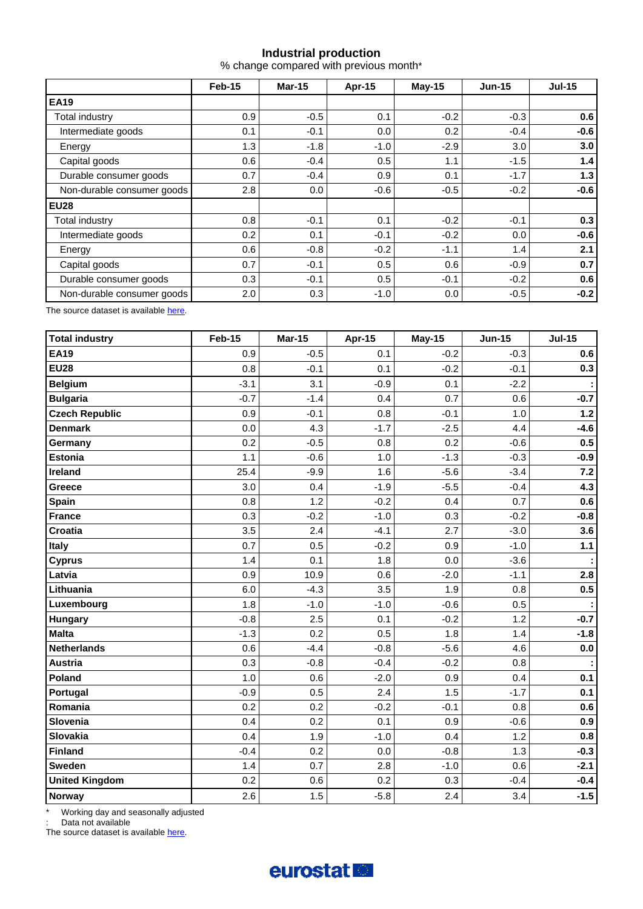# **Industrial production**

% change compared with previous month\*

|                            | Feb-15 | <b>Mar-15</b> | Apr-15 | $May-15$ | <b>Jun-15</b> | <b>Jul-15</b> |  |
|----------------------------|--------|---------------|--------|----------|---------------|---------------|--|
| <b>EA19</b>                |        |               |        |          |               |               |  |
| Total industry             | 0.9    | $-0.5$        | 0.1    | $-0.2$   | $-0.3$        | 0.6           |  |
| Intermediate goods         | 0.1    | $-0.1$        | 0.0    | 0.2      | $-0.4$        | $-0.6$        |  |
| Energy                     | 1.3    | $-1.8$        | $-1.0$ | $-2.9$   | 3.0           | 3.0           |  |
| Capital goods              | 0.6    | $-0.4$        | 0.5    | 1.1      | $-1.5$        | 1.4           |  |
| Durable consumer goods     | 0.7    | $-0.4$        | 0.9    | 0.1      | $-1.7$        | 1.3           |  |
| Non-durable consumer goods | 2.8    | 0.0           | $-0.6$ | $-0.5$   | $-0.2$        | $-0.6$        |  |
| <b>EU28</b>                |        |               |        |          |               |               |  |
| Total industry             | 0.8    | $-0.1$        | 0.1    | $-0.2$   | $-0.1$        | 0.3           |  |
| Intermediate goods         | 0.2    | 0.1           | $-0.1$ | $-0.2$   | 0.0           | $-0.6$        |  |
| Energy                     | 0.6    | $-0.8$        | $-0.2$ | $-1.1$   | 1.4           | 2.1           |  |
| Capital goods              | 0.7    | $-0.1$        | 0.5    | 0.6      | $-0.9$        | 0.7           |  |
| Durable consumer goods     | 0.3    | $-0.1$        | 0.5    | $-0.1$   | $-0.2$        | 0.6           |  |
| Non-durable consumer goods | 2.0    | 0.3           | $-1.0$ | 0.0      | $-0.5$        | $-0.2$        |  |

The source dataset is available [here](http://appsso.eurostat.ec.europa.eu/nui/show.do?query=BOOKMARK_DS-069601_QID_2B77704D_UID_-3F171EB0&layout=TIME,C,X,0;GEO,L,Y,0;NACE_R2,L,Y,1;INDIC_BT,L,Z,0;S_ADJ,L,Z,1;UNIT,L,Z,2;INDICATORS,C,Z,3;&zSelection=DS-069601INDIC_BT,PROD;DS-069601UNIT,PCH_PRE;DS-069601INDICATORS,OBS_FLAG;DS-069601S_ADJ,SWDA;&rankName1=UNIT_1_2_-1_2&rankName2=INDIC-BT_1_2_-1_2&rankName3=INDICATORS_1_2_-1_2&rankName4=S-ADJ_1_2_-1_2&rankName5=TIME_1_0_0_0&rankName6=GEO_1_2_0_1&rankName7=NACE-R2_1_2_1_1&sortC=ASC_-1_FIRST&rStp=&cStp=&rDCh=&cDCh=&rDM=true&cDM=true&footnes=false&empty=false&wai=false&time_mode=ROLLING&time_most_recent=true&lang=EN&cfo=%23%23%23%2C%23%23%23.%23%23%23).

| <b>Total industry</b> | <b>Feb-15</b> | <b>Mar-15</b> | Apr-15 | <b>May-15</b> | <b>Jun-15</b> | <b>Jul-15</b> |
|-----------------------|---------------|---------------|--------|---------------|---------------|---------------|
| <b>EA19</b>           | 0.9           | $-0.5$        | 0.1    | $-0.2$        | $-0.3$        | 0.6           |
| <b>EU28</b>           | 0.8           | $-0.1$        | 0.1    | $-0.2$        | $-0.1$        | 0.3           |
| <b>Belgium</b>        | $-3.1$        | 3.1           | $-0.9$ | 0.1           | $-2.2$        |               |
| <b>Bulgaria</b>       | $-0.7$        | $-1.4$        | 0.4    | 0.7           | 0.6           | $-0.7$        |
| <b>Czech Republic</b> | 0.9           | $-0.1$        | 0.8    | $-0.1$        | 1.0           | $1.2$         |
| <b>Denmark</b>        | 0.0           | 4.3           | $-1.7$ | $-2.5$        | 4.4           | $-4.6$        |
| Germany               | 0.2           | $-0.5$        | 0.8    | 0.2           | $-0.6$        | 0.5           |
| <b>Estonia</b>        | 1.1           | $-0.6$        | 1.0    | $-1.3$        | $-0.3$        | $-0.9$        |
| <b>Ireland</b>        | 25.4          | $-9.9$        | 1.6    | $-5.6$        | $-3.4$        | $7.2$         |
| Greece                | 3.0           | 0.4           | $-1.9$ | $-5.5$        | $-0.4$        | 4.3           |
| <b>Spain</b>          | 0.8           | 1.2           | $-0.2$ | 0.4           | 0.7           | 0.6           |
| <b>France</b>         | 0.3           | $-0.2$        | $-1.0$ | 0.3           | $-0.2$        | $-0.8$        |
| <b>Croatia</b>        | 3.5           | 2.4           | $-4.1$ | 2.7           | $-3.0$        | 3.6           |
| <b>Italy</b>          | 0.7           | 0.5           | $-0.2$ | 0.9           | $-1.0$        | 1.1           |
| <b>Cyprus</b>         | 1.4           | 0.1           | 1.8    | 0.0           | $-3.6$        |               |
| Latvia                | 0.9           | 10.9          | 0.6    | $-2.0$        | $-1.1$        | 2.8           |
| Lithuania             | 6.0           | $-4.3$        | 3.5    | 1.9           | 0.8           | 0.5           |
| Luxembourg            | 1.8           | $-1.0$        | $-1.0$ | $-0.6$        | 0.5           |               |
| Hungary               | $-0.8$        | 2.5           | 0.1    | $-0.2$        | 1.2           | $-0.7$        |
| <b>Malta</b>          | $-1.3$        | 0.2           | 0.5    | 1.8           | 1.4           | $-1.8$        |
| <b>Netherlands</b>    | 0.6           | $-4.4$        | $-0.8$ | $-5.6$        | 4.6           | $0.0\,$       |
| <b>Austria</b>        | 0.3           | $-0.8$        | $-0.4$ | $-0.2$        | 0.8           |               |
| Poland                | 1.0           | 0.6           | $-2.0$ | 0.9           | 0.4           | 0.1           |
| Portugal              | $-0.9$        | 0.5           | 2.4    | 1.5           | $-1.7$        | 0.1           |
| Romania               | 0.2           | 0.2           | $-0.2$ | $-0.1$        | 0.8           | 0.6           |
| Slovenia              | 0.4           | 0.2           | 0.1    | 0.9           | $-0.6$        | 0.9           |
| Slovakia              | 0.4           | 1.9           | $-1.0$ | 0.4           | 1.2           | 0.8           |
| <b>Finland</b>        | $-0.4$        | 0.2           | 0.0    | $-0.8$        | 1.3           | $-0.3$        |
| Sweden                | 1.4           | 0.7           | 2.8    | $-1.0$        | 0.6           | $-2.1$        |
| <b>United Kingdom</b> | 0.2           | 0.6           | 0.2    | 0.3           | $-0.4$        | $-0.4$        |
| Norway                | 2.6           | 1.5           | $-5.8$ | 2.4           | 3.4           | $-1.5$        |

\* Working day and seasonally adjusted

: Data not available

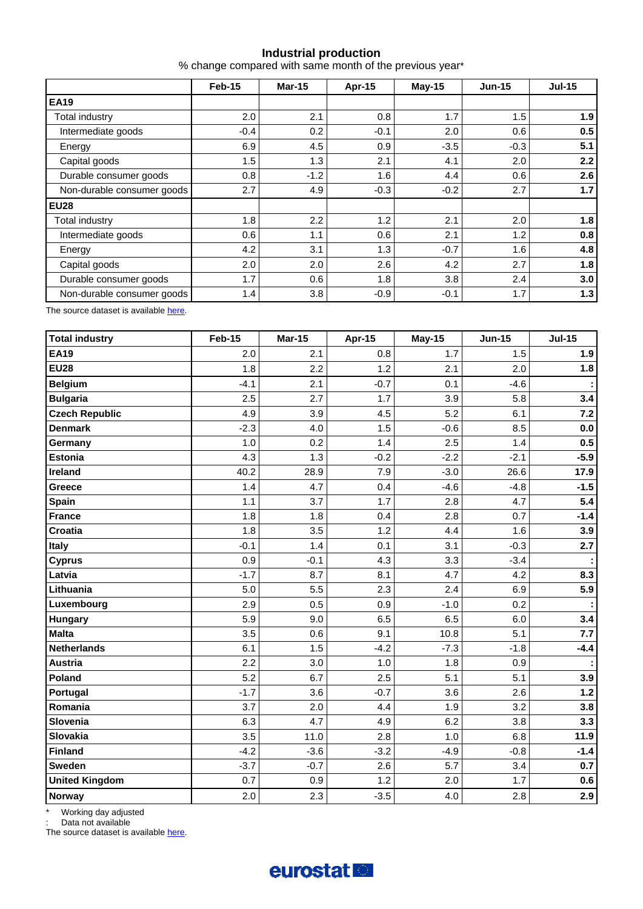## **Industrial production**

% change compared with same month of the previous year\*

|                            | Feb-15 | <b>Mar-15</b> | Apr-15 | <b>May-15</b> | <b>Jun-15</b> | <b>Jul-15</b> |  |
|----------------------------|--------|---------------|--------|---------------|---------------|---------------|--|
| <b>EA19</b>                |        |               |        |               |               |               |  |
| Total industry             | 2.0    | 2.1           | 0.8    | 1.7           | 1.5           | 1.9           |  |
| Intermediate goods         | $-0.4$ | 0.2           | $-0.1$ | 2.0           | 0.6           | 0.5           |  |
| Energy                     | 6.9    | 4.5           | 0.9    | $-3.5$        | $-0.3$        | 5.1           |  |
| Capital goods              | 1.5    | 1.3           | 2.1    | 4.1           | 2.0           | 2.2           |  |
| Durable consumer goods     | 0.8    | $-1.2$        | 1.6    | 4.4           | 0.6           | 2.6           |  |
| Non-durable consumer goods | 2.7    | 4.9           | $-0.3$ | $-0.2$        | 2.7           | 1.7           |  |
| <b>EU28</b>                |        |               |        |               |               |               |  |
| Total industry             | 1.8    | 2.2           | 1.2    | 2.1           | 2.0           | 1.8           |  |
| Intermediate goods         | 0.6    | 1.1           | 0.6    | 2.1           | 1.2           | 0.8           |  |
| Energy                     | 4.2    | 3.1           | 1.3    | $-0.7$        | 1.6           | 4.8           |  |
| Capital goods              | 2.0    | 2.0           | 2.6    | 4.2           | 2.7           | 1.8           |  |
| Durable consumer goods     | 1.7    | 0.6           | 1.8    | 3.8           | 2.4           | 3.0           |  |
| Non-durable consumer goods | 1.4    | 3.8           | $-0.9$ | $-0.1$        | 1.7           | 1.3           |  |

The source dataset is available [here](http://appsso.eurostat.ec.europa.eu/nui/show.do?query=BOOKMARK_DS-069601_QID_-25C68083_UID_-3F171EB0&layout=TIME,C,X,0;GEO,L,Y,0;NACE_R2,L,Y,1;INDIC_BT,L,Z,0;S_ADJ,L,Z,1;UNIT,L,Z,2;INDICATORS,C,Z,3;&zSelection=DS-069601INDIC_BT,PROD;DS-069601UNIT,PCH_PRE;DS-069601INDICATORS,OBS_FLAG;DS-069601S_ADJ,SWDA;&rankName1=UNIT_1_2_-1_2&rankName2=INDIC-BT_1_2_-1_2&rankName3=INDICATORS_1_2_-1_2&rankName4=S-ADJ_1_2_-1_2&rankName5=TIME_1_0_0_0&rankName6=GEO_1_2_0_1&rankName7=NACE-R2_1_2_1_1&sortC=ASC_-1_FIRST&rStp=&cStp=&rDCh=&cDCh=&rDM=true&cDM=true&footnes=false&empty=false&wai=false&time_mode=ROLLING&time_most_recent=true&lang=EN&cfo=%23%23%23%2C%23%23%23.%23%23%23).

| <b>Total industry</b> | <b>Feb-15</b> | <b>Mar-15</b> | Apr-15 | <b>May-15</b> | <b>Jun-15</b> | <b>Jul-15</b> |
|-----------------------|---------------|---------------|--------|---------------|---------------|---------------|
| <b>EA19</b>           | 2.0           | 2.1           | 0.8    | 1.7           | 1.5           | 1.9           |
| <b>EU28</b>           | 1.8           | 2.2           | 1.2    | 2.1           | 2.0           | 1.8           |
| <b>Belgium</b>        | $-4.1$        | 2.1           | $-0.7$ | 0.1           | $-4.6$        |               |
| <b>Bulgaria</b>       | 2.5           | 2.7           | 1.7    | 3.9           | 5.8           | 3.4           |
| <b>Czech Republic</b> | 4.9           | 3.9           | 4.5    | 5.2           | 6.1           | 7.2           |
| <b>Denmark</b>        | $-2.3$        | 4.0           | 1.5    | $-0.6$        | 8.5           | 0.0           |
| Germany               | 1.0           | 0.2           | 1.4    | 2.5           | 1.4           | 0.5           |
| <b>Estonia</b>        | 4.3           | 1.3           | $-0.2$ | $-2.2$        | $-2.1$        | $-5.9$        |
| <b>Ireland</b>        | 40.2          | 28.9          | 7.9    | $-3.0$        | 26.6          | 17.9          |
| Greece                | 1.4           | 4.7           | 0.4    | $-4.6$        | $-4.8$        | $-1.5$        |
| <b>Spain</b>          | 1.1           | 3.7           | 1.7    | 2.8           | 4.7           | 5.4           |
| <b>France</b>         | 1.8           | 1.8           | 0.4    | 2.8           | 0.7           | $-1.4$        |
| <b>Croatia</b>        | 1.8           | 3.5           | 1.2    | 4.4           | 1.6           | 3.9           |
| <b>Italy</b>          | $-0.1$        | 1.4           | 0.1    | 3.1           | $-0.3$        | 2.7           |
| <b>Cyprus</b>         | 0.9           | $-0.1$        | 4.3    | 3.3           | $-3.4$        |               |
| Latvia                | $-1.7$        | 8.7           | 8.1    | 4.7           | 4.2           | 8.3           |
| Lithuania             | 5.0           | 5.5           | 2.3    | 2.4           | 6.9           | 5.9           |
| Luxembourg            | 2.9           | 0.5           | 0.9    | $-1.0$        | 0.2           |               |
| Hungary               | 5.9           | 9.0           | 6.5    | 6.5           | 6.0           | 3.4           |
| <b>Malta</b>          | 3.5           | 0.6           | 9.1    | 10.8          | 5.1           | 7.7           |
| <b>Netherlands</b>    | 6.1           | 1.5           | $-4.2$ | $-7.3$        | $-1.8$        | $-4.4$        |
| <b>Austria</b>        | 2.2           | 3.0           | 1.0    | 1.8           | 0.9           |               |
| Poland                | 5.2           | 6.7           | 2.5    | 5.1           | 5.1           | 3.9           |
| Portugal              | $-1.7$        | 3.6           | $-0.7$ | 3.6           | 2.6           | $1.2$         |
| Romania               | 3.7           | 2.0           | 4.4    | 1.9           | 3.2           | 3.8           |
| Slovenia              | 6.3           | 4.7           | 4.9    | 6.2           | 3.8           | 3.3           |
| Slovakia              | 3.5           | 11.0          | 2.8    | 1.0           | 6.8           | 11.9          |
| <b>Finland</b>        | $-4.2$        | $-3.6$        | $-3.2$ | $-4.9$        | $-0.8$        | $-1.4$        |
| Sweden                | $-3.7$        | $-0.7$        | 2.6    | 5.7           | 3.4           | 0.7           |
| <b>United Kingdom</b> | 0.7           | 0.9           | 1.2    | 2.0           | 1.7           | 0.6           |
| Norway                | 2.0           | 2.3           | $-3.5$ | 4.0           | 2.8           | 2.9           |

\* Working day adjusted

: Data not available

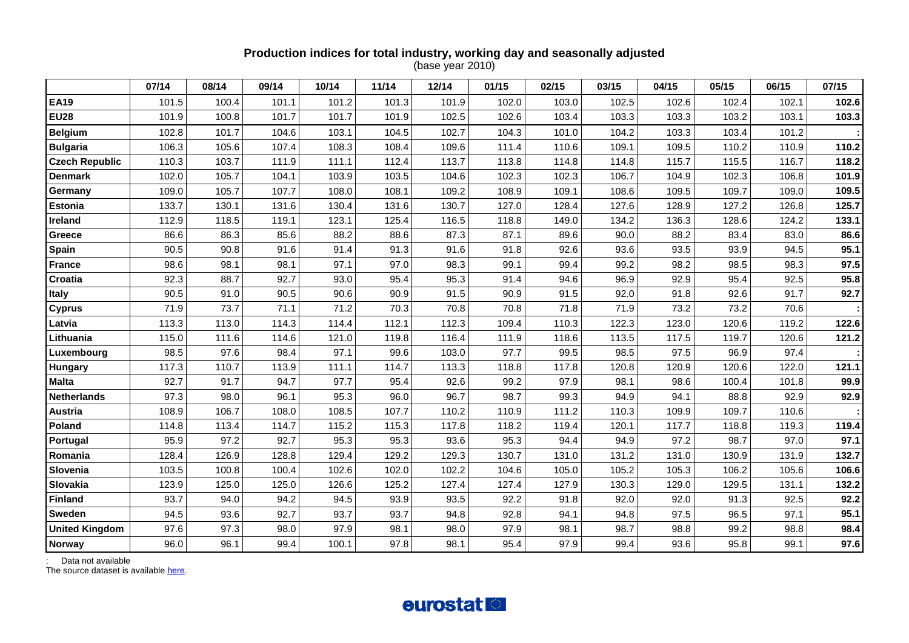## **Production indices for total industry, working day and seasonally adjusted**  (base year 2010)

|                       | 07/14 | 08/14 | 09/14 | 10/14 | 11/14 | 12/14 | 01/15 | 02/15 | 03/15 | 04/15 | 05/15 | 06/15 | 07/15 |
|-----------------------|-------|-------|-------|-------|-------|-------|-------|-------|-------|-------|-------|-------|-------|
| <b>EA19</b>           | 101.5 | 100.4 | 101.1 | 101.2 | 101.3 | 101.9 | 102.0 | 103.0 | 102.5 | 102.6 | 102.4 | 102.1 | 102.6 |
| <b>EU28</b>           | 101.9 | 100.8 | 101.7 | 101.7 | 101.9 | 102.5 | 102.6 | 103.4 | 103.3 | 103.3 | 103.2 | 103.1 | 103.3 |
| <b>Belgium</b>        | 102.8 | 101.7 | 104.6 | 103.1 | 104.5 | 102.7 | 104.3 | 101.0 | 104.2 | 103.3 | 103.4 | 101.2 |       |
| <b>Bulgaria</b>       | 106.3 | 105.6 | 107.4 | 108.3 | 108.4 | 109.6 | 111.4 | 110.6 | 109.1 | 109.5 | 110.2 | 110.9 | 110.2 |
| <b>Czech Republic</b> | 110.3 | 103.7 | 111.9 | 111.1 | 112.4 | 113.7 | 113.8 | 114.8 | 114.8 | 115.7 | 115.5 | 116.7 | 118.2 |
| <b>Denmark</b>        | 102.0 | 105.7 | 104.1 | 103.9 | 103.5 | 104.6 | 102.3 | 102.3 | 106.7 | 104.9 | 102.3 | 106.8 | 101.9 |
| Germany               | 109.0 | 105.7 | 107.7 | 108.0 | 108.1 | 109.2 | 108.9 | 109.1 | 108.6 | 109.5 | 109.7 | 109.0 | 109.5 |
| <b>Estonia</b>        | 133.7 | 130.1 | 131.6 | 130.4 | 131.6 | 130.7 | 127.0 | 128.4 | 127.6 | 128.9 | 127.2 | 126.8 | 125.7 |
| <b>Ireland</b>        | 112.9 | 118.5 | 119.1 | 123.1 | 125.4 | 116.5 | 118.8 | 149.0 | 134.2 | 136.3 | 128.6 | 124.2 | 133.1 |
| Greece                | 86.6  | 86.3  | 85.6  | 88.2  | 88.6  | 87.3  | 87.1  | 89.6  | 90.0  | 88.2  | 83.4  | 83.0  | 86.6  |
| Spain                 | 90.5  | 90.8  | 91.6  | 91.4  | 91.3  | 91.6  | 91.8  | 92.6  | 93.6  | 93.5  | 93.9  | 94.5  | 95.1  |
| <b>France</b>         | 98.6  | 98.1  | 98.1  | 97.1  | 97.0  | 98.3  | 99.1  | 99.4  | 99.2  | 98.2  | 98.5  | 98.3  | 97.5  |
| Croatia               | 92.3  | 88.7  | 92.7  | 93.0  | 95.4  | 95.3  | 91.4  | 94.6  | 96.9  | 92.9  | 95.4  | 92.5  | 95.8  |
| <b>Italy</b>          | 90.5  | 91.0  | 90.5  | 90.6  | 90.9  | 91.5  | 90.9  | 91.5  | 92.0  | 91.8  | 92.6  | 91.7  | 92.7  |
| <b>Cyprus</b>         | 71.9  | 73.7  | 71.1  | 71.2  | 70.3  | 70.8  | 70.8  | 71.8  | 71.9  | 73.2  | 73.2  | 70.6  |       |
| Latvia                | 113.3 | 113.0 | 114.3 | 114.4 | 112.1 | 112.3 | 109.4 | 110.3 | 122.3 | 123.0 | 120.6 | 119.2 | 122.6 |
| Lithuania             | 115.0 | 111.6 | 114.6 | 121.0 | 119.8 | 116.4 | 111.9 | 118.6 | 113.5 | 117.5 | 119.7 | 120.6 | 121.2 |
| Luxembourg            | 98.5  | 97.6  | 98.4  | 97.1  | 99.6  | 103.0 | 97.7  | 99.5  | 98.5  | 97.5  | 96.9  | 97.4  |       |
| <b>Hungary</b>        | 117.3 | 110.7 | 113.9 | 111.1 | 114.7 | 113.3 | 118.8 | 117.8 | 120.8 | 120.9 | 120.6 | 122.0 | 121.1 |
| <b>Malta</b>          | 92.7  | 91.7  | 94.7  | 97.7  | 95.4  | 92.6  | 99.2  | 97.9  | 98.1  | 98.6  | 100.4 | 101.8 | 99.9  |
| <b>Netherlands</b>    | 97.3  | 98.0  | 96.1  | 95.3  | 96.0  | 96.7  | 98.7  | 99.3  | 94.9  | 94.1  | 88.8  | 92.9  | 92.9  |
| Austria               | 108.9 | 106.7 | 108.0 | 108.5 | 107.7 | 110.2 | 110.9 | 111.2 | 110.3 | 109.9 | 109.7 | 110.6 |       |
| Poland                | 114.8 | 113.4 | 114.7 | 115.2 | 115.3 | 117.8 | 118.2 | 119.4 | 120.1 | 117.7 | 118.8 | 119.3 | 119.4 |
| Portugal              | 95.9  | 97.2  | 92.7  | 95.3  | 95.3  | 93.6  | 95.3  | 94.4  | 94.9  | 97.2  | 98.7  | 97.0  | 97.1  |
| Romania               | 128.4 | 126.9 | 128.8 | 129.4 | 129.2 | 129.3 | 130.7 | 131.0 | 131.2 | 131.0 | 130.9 | 131.9 | 132.7 |
| Slovenia              | 103.5 | 100.8 | 100.4 | 102.6 | 102.0 | 102.2 | 104.6 | 105.0 | 105.2 | 105.3 | 106.2 | 105.6 | 106.6 |
| Slovakia              | 123.9 | 125.0 | 125.0 | 126.6 | 125.2 | 127.4 | 127.4 | 127.9 | 130.3 | 129.0 | 129.5 | 131.1 | 132.2 |
| <b>Finland</b>        | 93.7  | 94.0  | 94.2  | 94.5  | 93.9  | 93.5  | 92.2  | 91.8  | 92.0  | 92.0  | 91.3  | 92.5  | 92.2  |
| <b>Sweden</b>         | 94.5  | 93.6  | 92.7  | 93.7  | 93.7  | 94.8  | 92.8  | 94.1  | 94.8  | 97.5  | 96.5  | 97.1  | 95.1  |
| <b>United Kingdom</b> | 97.6  | 97.3  | 98.0  | 97.9  | 98.1  | 98.0  | 97.9  | 98.1  | 98.7  | 98.8  | 99.2  | 98.8  | 98.4  |
| <b>Norway</b>         | 96.0  | 96.1  | 99.4  | 100.1 | 97.8  | 98.1  | 95.4  | 97.9  | 99.4  | 93.6  | 95.8  | 99.1  | 97.6  |

: Data not available